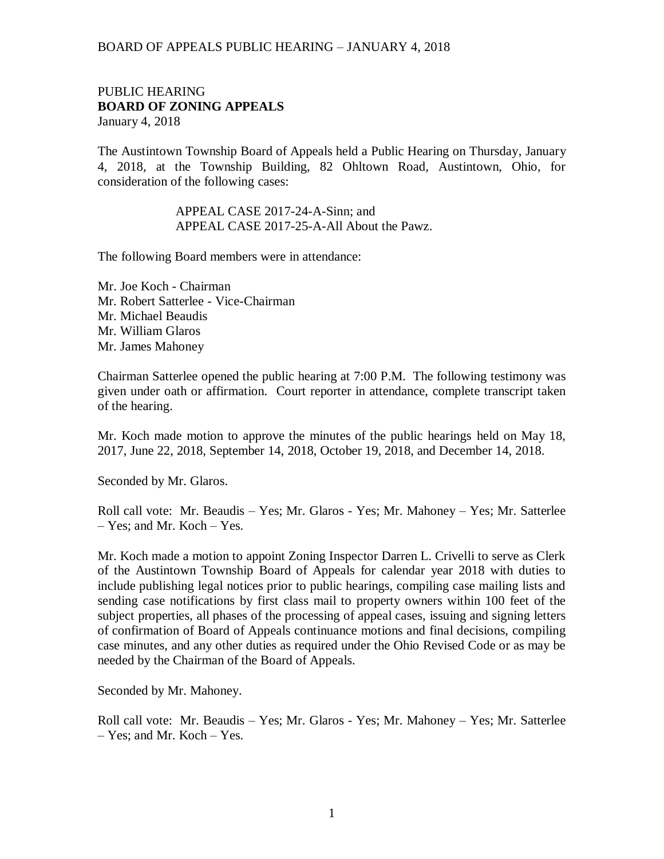#### PUBLIC HEARING **BOARD OF ZONING APPEALS**  January 4, 2018

The Austintown Township Board of Appeals held a Public Hearing on Thursday, January 4, 2018, at the Township Building, 82 Ohltown Road, Austintown, Ohio, for consideration of the following cases:

> APPEAL CASE 2017-24-A-Sinn; and APPEAL CASE 2017-25-A-All About the Pawz.

The following Board members were in attendance:

Mr. Joe Koch - Chairman Mr. Robert Satterlee - Vice-Chairman Mr. Michael Beaudis Mr. William Glaros Mr. James Mahoney

Chairman Satterlee opened the public hearing at 7:00 P.M. The following testimony was given under oath or affirmation. Court reporter in attendance, complete transcript taken of the hearing.

Mr. Koch made motion to approve the minutes of the public hearings held on May 18, 2017, June 22, 2018, September 14, 2018, October 19, 2018, and December 14, 2018.

Seconded by Mr. Glaros.

Roll call vote: Mr. Beaudis – Yes; Mr. Glaros - Yes; Mr. Mahoney – Yes; Mr. Satterlee – Yes; and Mr. Koch – Yes.

Mr. Koch made a motion to appoint Zoning Inspector Darren L. Crivelli to serve as Clerk of the Austintown Township Board of Appeals for calendar year 2018 with duties to include publishing legal notices prior to public hearings, compiling case mailing lists and sending case notifications by first class mail to property owners within 100 feet of the subject properties, all phases of the processing of appeal cases, issuing and signing letters of confirmation of Board of Appeals continuance motions and final decisions, compiling case minutes, and any other duties as required under the Ohio Revised Code or as may be needed by the Chairman of the Board of Appeals.

Seconded by Mr. Mahoney.

Roll call vote: Mr. Beaudis – Yes; Mr. Glaros - Yes; Mr. Mahoney – Yes; Mr. Satterlee – Yes; and Mr. Koch – Yes.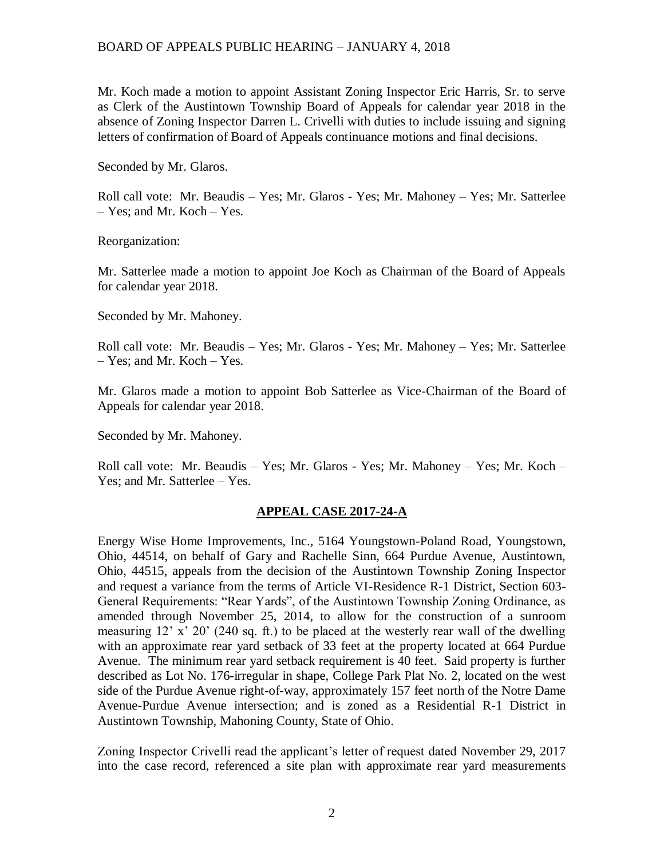Mr. Koch made a motion to appoint Assistant Zoning Inspector Eric Harris, Sr. to serve as Clerk of the Austintown Township Board of Appeals for calendar year 2018 in the absence of Zoning Inspector Darren L. Crivelli with duties to include issuing and signing letters of confirmation of Board of Appeals continuance motions and final decisions.

Seconded by Mr. Glaros.

Roll call vote: Mr. Beaudis – Yes; Mr. Glaros - Yes; Mr. Mahoney – Yes; Mr. Satterlee – Yes; and Mr. Koch – Yes.

Reorganization:

Mr. Satterlee made a motion to appoint Joe Koch as Chairman of the Board of Appeals for calendar year 2018.

Seconded by Mr. Mahoney.

Roll call vote: Mr. Beaudis – Yes; Mr. Glaros - Yes; Mr. Mahoney – Yes; Mr. Satterlee – Yes; and Mr. Koch – Yes.

Mr. Glaros made a motion to appoint Bob Satterlee as Vice-Chairman of the Board of Appeals for calendar year 2018.

Seconded by Mr. Mahoney.

Roll call vote: Mr. Beaudis – Yes; Mr. Glaros - Yes; Mr. Mahoney – Yes; Mr. Koch – Yes; and Mr. Satterlee – Yes.

# **APPEAL CASE 2017-24-A**

Energy Wise Home Improvements, Inc., 5164 Youngstown-Poland Road, Youngstown, Ohio, 44514, on behalf of Gary and Rachelle Sinn, 664 Purdue Avenue, Austintown, Ohio, 44515, appeals from the decision of the Austintown Township Zoning Inspector and request a variance from the terms of Article VI-Residence R-1 District, Section 603- General Requirements: "Rear Yards", of the Austintown Township Zoning Ordinance, as amended through November 25, 2014, to allow for the construction of a sunroom measuring 12' x' 20' (240 sq. ft.) to be placed at the westerly rear wall of the dwelling with an approximate rear yard setback of 33 feet at the property located at 664 Purdue Avenue. The minimum rear yard setback requirement is 40 feet. Said property is further described as Lot No. 176-irregular in shape, College Park Plat No. 2, located on the west side of the Purdue Avenue right-of-way, approximately 157 feet north of the Notre Dame Avenue-Purdue Avenue intersection; and is zoned as a Residential R-1 District in Austintown Township, Mahoning County, State of Ohio.

Zoning Inspector Crivelli read the applicant's letter of request dated November 29, 2017 into the case record, referenced a site plan with approximate rear yard measurements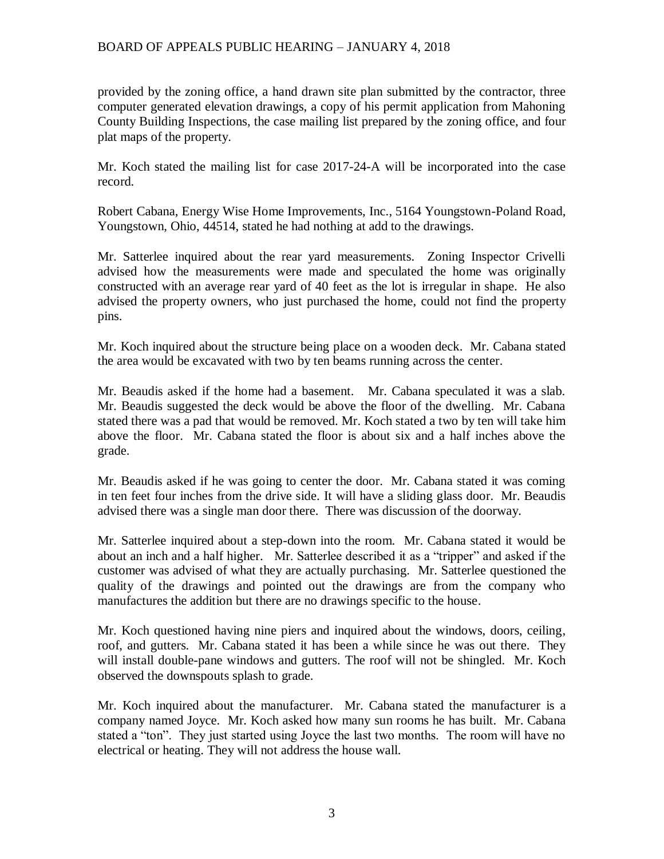provided by the zoning office, a hand drawn site plan submitted by the contractor, three computer generated elevation drawings, a copy of his permit application from Mahoning County Building Inspections, the case mailing list prepared by the zoning office, and four plat maps of the property.

Mr. Koch stated the mailing list for case 2017-24-A will be incorporated into the case record.

Robert Cabana, Energy Wise Home Improvements, Inc., 5164 Youngstown-Poland Road, Youngstown, Ohio, 44514, stated he had nothing at add to the drawings.

Mr. Satterlee inquired about the rear yard measurements. Zoning Inspector Crivelli advised how the measurements were made and speculated the home was originally constructed with an average rear yard of 40 feet as the lot is irregular in shape. He also advised the property owners, who just purchased the home, could not find the property pins.

Mr. Koch inquired about the structure being place on a wooden deck. Mr. Cabana stated the area would be excavated with two by ten beams running across the center.

Mr. Beaudis asked if the home had a basement. Mr. Cabana speculated it was a slab. Mr. Beaudis suggested the deck would be above the floor of the dwelling. Mr. Cabana stated there was a pad that would be removed. Mr. Koch stated a two by ten will take him above the floor. Mr. Cabana stated the floor is about six and a half inches above the grade.

Mr. Beaudis asked if he was going to center the door. Mr. Cabana stated it was coming in ten feet four inches from the drive side. It will have a sliding glass door. Mr. Beaudis advised there was a single man door there. There was discussion of the doorway.

Mr. Satterlee inquired about a step-down into the room. Mr. Cabana stated it would be about an inch and a half higher. Mr. Satterlee described it as a "tripper" and asked if the customer was advised of what they are actually purchasing. Mr. Satterlee questioned the quality of the drawings and pointed out the drawings are from the company who manufactures the addition but there are no drawings specific to the house.

Mr. Koch questioned having nine piers and inquired about the windows, doors, ceiling, roof, and gutters. Mr. Cabana stated it has been a while since he was out there. They will install double-pane windows and gutters. The roof will not be shingled. Mr. Koch observed the downspouts splash to grade.

Mr. Koch inquired about the manufacturer. Mr. Cabana stated the manufacturer is a company named Joyce. Mr. Koch asked how many sun rooms he has built. Mr. Cabana stated a "ton". They just started using Joyce the last two months. The room will have no electrical or heating. They will not address the house wall.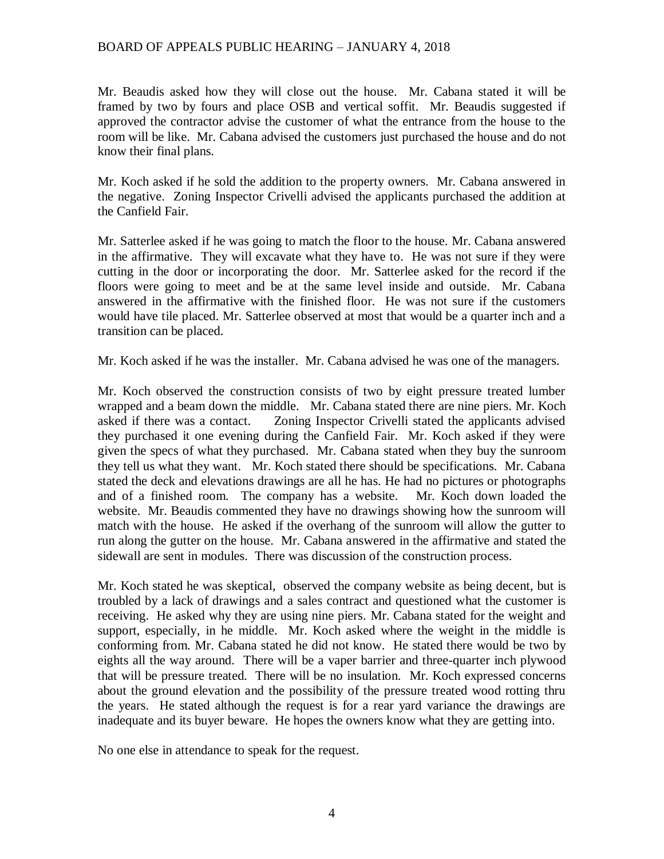Mr. Beaudis asked how they will close out the house. Mr. Cabana stated it will be framed by two by fours and place OSB and vertical soffit. Mr. Beaudis suggested if approved the contractor advise the customer of what the entrance from the house to the room will be like. Mr. Cabana advised the customers just purchased the house and do not know their final plans.

Mr. Koch asked if he sold the addition to the property owners. Mr. Cabana answered in the negative. Zoning Inspector Crivelli advised the applicants purchased the addition at the Canfield Fair.

Mr. Satterlee asked if he was going to match the floor to the house. Mr. Cabana answered in the affirmative. They will excavate what they have to. He was not sure if they were cutting in the door or incorporating the door. Mr. Satterlee asked for the record if the floors were going to meet and be at the same level inside and outside. Mr. Cabana answered in the affirmative with the finished floor. He was not sure if the customers would have tile placed. Mr. Satterlee observed at most that would be a quarter inch and a transition can be placed.

Mr. Koch asked if he was the installer. Mr. Cabana advised he was one of the managers.

Mr. Koch observed the construction consists of two by eight pressure treated lumber wrapped and a beam down the middle. Mr. Cabana stated there are nine piers. Mr. Koch asked if there was a contact. Zoning Inspector Crivelli stated the applicants advised they purchased it one evening during the Canfield Fair. Mr. Koch asked if they were given the specs of what they purchased. Mr. Cabana stated when they buy the sunroom they tell us what they want. Mr. Koch stated there should be specifications. Mr. Cabana stated the deck and elevations drawings are all he has. He had no pictures or photographs and of a finished room. The company has a website. Mr. Koch down loaded the website. Mr. Beaudis commented they have no drawings showing how the sunroom will match with the house. He asked if the overhang of the sunroom will allow the gutter to run along the gutter on the house. Mr. Cabana answered in the affirmative and stated the sidewall are sent in modules. There was discussion of the construction process.

Mr. Koch stated he was skeptical, observed the company website as being decent, but is troubled by a lack of drawings and a sales contract and questioned what the customer is receiving. He asked why they are using nine piers. Mr. Cabana stated for the weight and support, especially, in he middle. Mr. Koch asked where the weight in the middle is conforming from. Mr. Cabana stated he did not know. He stated there would be two by eights all the way around. There will be a vaper barrier and three-quarter inch plywood that will be pressure treated. There will be no insulation. Mr. Koch expressed concerns about the ground elevation and the possibility of the pressure treated wood rotting thru the years. He stated although the request is for a rear yard variance the drawings are inadequate and its buyer beware. He hopes the owners know what they are getting into.

No one else in attendance to speak for the request.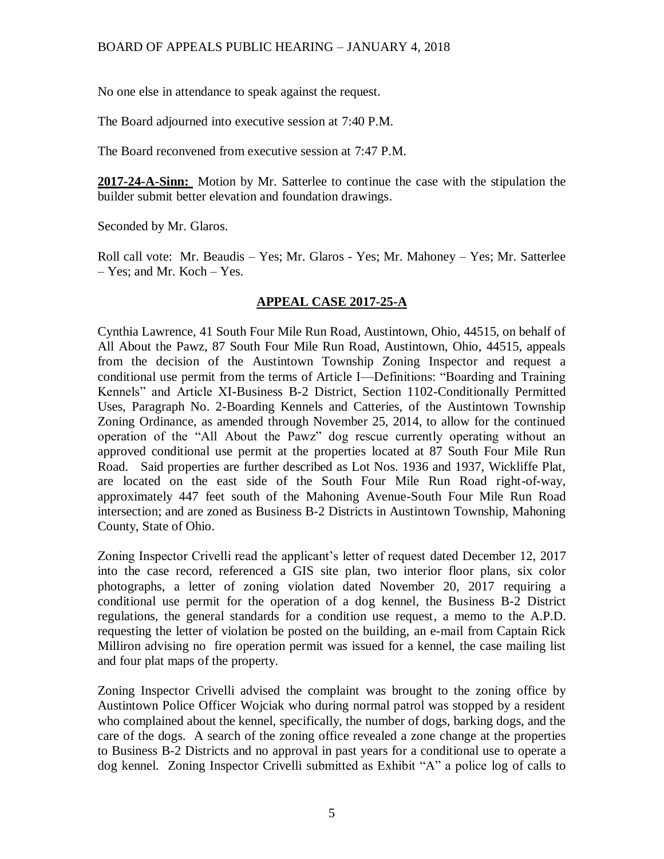No one else in attendance to speak against the request.

The Board adjourned into executive session at 7:40 P.M.

The Board reconvened from executive session at 7:47 P.M.

**2017-24-A-Sinn:** Motion by Mr. Satterlee to continue the case with the stipulation the builder submit better elevation and foundation drawings.

Seconded by Mr. Glaros.

Roll call vote: Mr. Beaudis – Yes; Mr. Glaros - Yes; Mr. Mahoney – Yes; Mr. Satterlee – Yes; and Mr. Koch – Yes.

# **APPEAL CASE 2017-25-A**

Cynthia Lawrence, 41 South Four Mile Run Road, Austintown, Ohio, 44515, on behalf of All About the Pawz, 87 South Four Mile Run Road, Austintown, Ohio, 44515, appeals from the decision of the Austintown Township Zoning Inspector and request a conditional use permit from the terms of Article I—Definitions: "Boarding and Training Kennels" and Article XI-Business B-2 District, Section 1102-Conditionally Permitted Uses, Paragraph No. 2-Boarding Kennels and Catteries, of the Austintown Township Zoning Ordinance, as amended through November 25, 2014, to allow for the continued operation of the "All About the Pawz" dog rescue currently operating without an approved conditional use permit at the properties located at 87 South Four Mile Run Road. Said properties are further described as Lot Nos. 1936 and 1937, Wickliffe Plat, are located on the east side of the South Four Mile Run Road right-of-way, approximately 447 feet south of the Mahoning Avenue-South Four Mile Run Road intersection; and are zoned as Business B-2 Districts in Austintown Township, Mahoning County, State of Ohio.

Zoning Inspector Crivelli read the applicant's letter of request dated December 12, 2017 into the case record, referenced a GIS site plan, two interior floor plans, six color photographs, a letter of zoning violation dated November 20, 2017 requiring a conditional use permit for the operation of a dog kennel, the Business B-2 District regulations, the general standards for a condition use request, a memo to the A.P.D. requesting the letter of violation be posted on the building, an e-mail from Captain Rick Milliron advising no fire operation permit was issued for a kennel, the case mailing list and four plat maps of the property.

Zoning Inspector Crivelli advised the complaint was brought to the zoning office by Austintown Police Officer Wojciak who during normal patrol was stopped by a resident who complained about the kennel, specifically, the number of dogs, barking dogs, and the care of the dogs. A search of the zoning office revealed a zone change at the properties to Business B-2 Districts and no approval in past years for a conditional use to operate a dog kennel. Zoning Inspector Crivelli submitted as Exhibit "A" a police log of calls to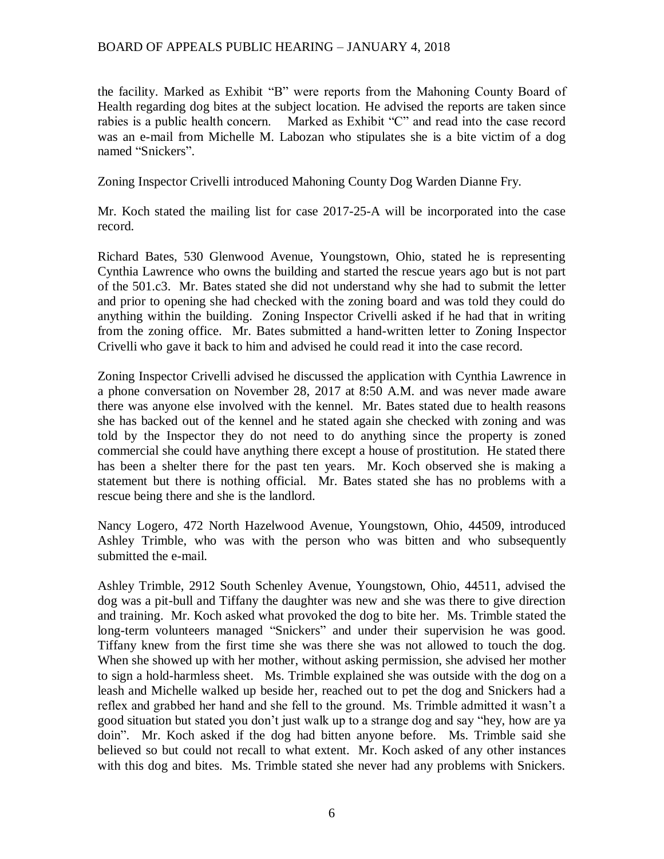the facility. Marked as Exhibit "B" were reports from the Mahoning County Board of Health regarding dog bites at the subject location. He advised the reports are taken since rabies is a public health concern. Marked as Exhibit "C" and read into the case record was an e-mail from Michelle M. Labozan who stipulates she is a bite victim of a dog named "Snickers".

Zoning Inspector Crivelli introduced Mahoning County Dog Warden Dianne Fry.

Mr. Koch stated the mailing list for case 2017-25-A will be incorporated into the case record.

Richard Bates, 530 Glenwood Avenue, Youngstown, Ohio, stated he is representing Cynthia Lawrence who owns the building and started the rescue years ago but is not part of the 501.c3. Mr. Bates stated she did not understand why she had to submit the letter and prior to opening she had checked with the zoning board and was told they could do anything within the building. Zoning Inspector Crivelli asked if he had that in writing from the zoning office. Mr. Bates submitted a hand-written letter to Zoning Inspector Crivelli who gave it back to him and advised he could read it into the case record.

Zoning Inspector Crivelli advised he discussed the application with Cynthia Lawrence in a phone conversation on November 28, 2017 at 8:50 A.M. and was never made aware there was anyone else involved with the kennel. Mr. Bates stated due to health reasons she has backed out of the kennel and he stated again she checked with zoning and was told by the Inspector they do not need to do anything since the property is zoned commercial she could have anything there except a house of prostitution. He stated there has been a shelter there for the past ten years. Mr. Koch observed she is making a statement but there is nothing official. Mr. Bates stated she has no problems with a rescue being there and she is the landlord.

Nancy Logero, 472 North Hazelwood Avenue, Youngstown, Ohio, 44509, introduced Ashley Trimble, who was with the person who was bitten and who subsequently submitted the e-mail.

Ashley Trimble, 2912 South Schenley Avenue, Youngstown, Ohio, 44511, advised the dog was a pit-bull and Tiffany the daughter was new and she was there to give direction and training. Mr. Koch asked what provoked the dog to bite her. Ms. Trimble stated the long-term volunteers managed "Snickers" and under their supervision he was good. Tiffany knew from the first time she was there she was not allowed to touch the dog. When she showed up with her mother, without asking permission, she advised her mother to sign a hold-harmless sheet. Ms. Trimble explained she was outside with the dog on a leash and Michelle walked up beside her, reached out to pet the dog and Snickers had a reflex and grabbed her hand and she fell to the ground. Ms. Trimble admitted it wasn't a good situation but stated you don't just walk up to a strange dog and say "hey, how are ya doin". Mr. Koch asked if the dog had bitten anyone before. Ms. Trimble said she believed so but could not recall to what extent. Mr. Koch asked of any other instances with this dog and bites. Ms. Trimble stated she never had any problems with Snickers.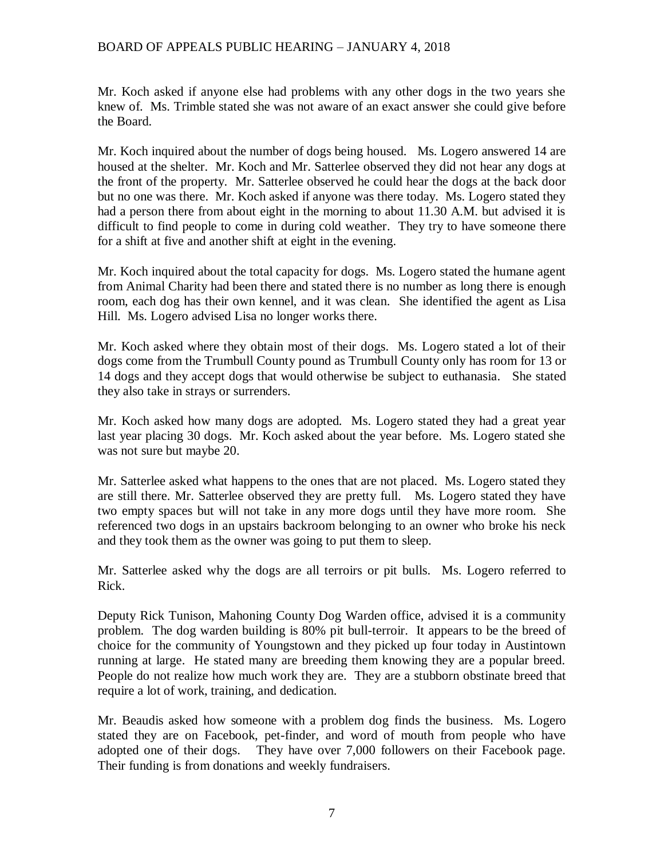Mr. Koch asked if anyone else had problems with any other dogs in the two years she knew of. Ms. Trimble stated she was not aware of an exact answer she could give before the Board.

Mr. Koch inquired about the number of dogs being housed. Ms. Logero answered 14 are housed at the shelter. Mr. Koch and Mr. Satterlee observed they did not hear any dogs at the front of the property. Mr. Satterlee observed he could hear the dogs at the back door but no one was there. Mr. Koch asked if anyone was there today. Ms. Logero stated they had a person there from about eight in the morning to about 11.30 A.M. but advised it is difficult to find people to come in during cold weather. They try to have someone there for a shift at five and another shift at eight in the evening.

Mr. Koch inquired about the total capacity for dogs. Ms. Logero stated the humane agent from Animal Charity had been there and stated there is no number as long there is enough room, each dog has their own kennel, and it was clean. She identified the agent as Lisa Hill. Ms. Logero advised Lisa no longer works there.

Mr. Koch asked where they obtain most of their dogs. Ms. Logero stated a lot of their dogs come from the Trumbull County pound as Trumbull County only has room for 13 or 14 dogs and they accept dogs that would otherwise be subject to euthanasia. She stated they also take in strays or surrenders.

Mr. Koch asked how many dogs are adopted. Ms. Logero stated they had a great year last year placing 30 dogs. Mr. Koch asked about the year before. Ms. Logero stated she was not sure but maybe 20.

Mr. Satterlee asked what happens to the ones that are not placed. Ms. Logero stated they are still there. Mr. Satterlee observed they are pretty full. Ms. Logero stated they have two empty spaces but will not take in any more dogs until they have more room. She referenced two dogs in an upstairs backroom belonging to an owner who broke his neck and they took them as the owner was going to put them to sleep.

Mr. Satterlee asked why the dogs are all terroirs or pit bulls. Ms. Logero referred to Rick.

Deputy Rick Tunison, Mahoning County Dog Warden office, advised it is a community problem. The dog warden building is 80% pit bull-terroir. It appears to be the breed of choice for the community of Youngstown and they picked up four today in Austintown running at large. He stated many are breeding them knowing they are a popular breed. People do not realize how much work they are. They are a stubborn obstinate breed that require a lot of work, training, and dedication.

Mr. Beaudis asked how someone with a problem dog finds the business. Ms. Logero stated they are on Facebook, pet-finder, and word of mouth from people who have adopted one of their dogs. They have over 7,000 followers on their Facebook page. Their funding is from donations and weekly fundraisers.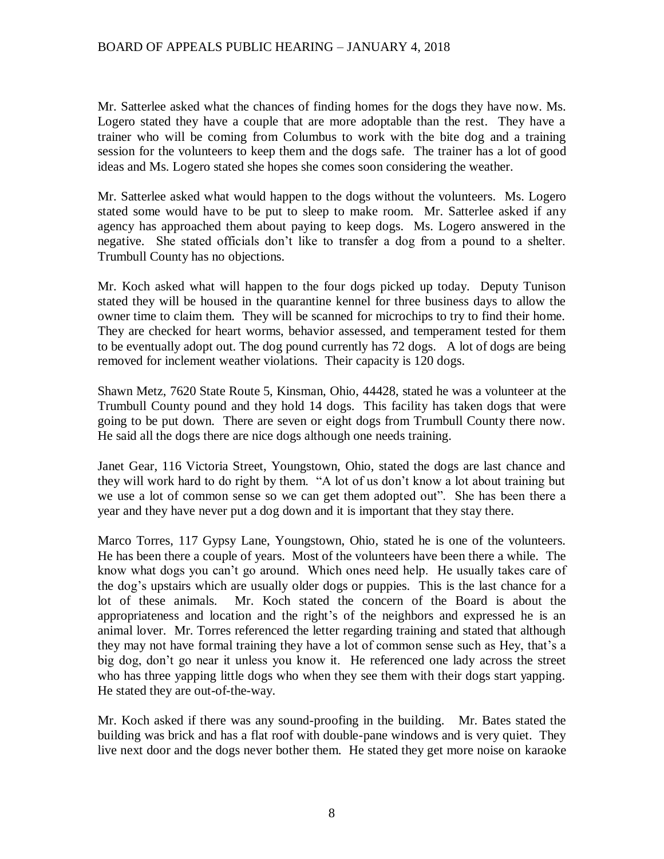Mr. Satterlee asked what the chances of finding homes for the dogs they have now. Ms. Logero stated they have a couple that are more adoptable than the rest. They have a trainer who will be coming from Columbus to work with the bite dog and a training session for the volunteers to keep them and the dogs safe. The trainer has a lot of good ideas and Ms. Logero stated she hopes she comes soon considering the weather.

Mr. Satterlee asked what would happen to the dogs without the volunteers. Ms. Logero stated some would have to be put to sleep to make room. Mr. Satterlee asked if any agency has approached them about paying to keep dogs. Ms. Logero answered in the negative. She stated officials don't like to transfer a dog from a pound to a shelter. Trumbull County has no objections.

Mr. Koch asked what will happen to the four dogs picked up today. Deputy Tunison stated they will be housed in the quarantine kennel for three business days to allow the owner time to claim them. They will be scanned for microchips to try to find their home. They are checked for heart worms, behavior assessed, and temperament tested for them to be eventually adopt out. The dog pound currently has 72 dogs. A lot of dogs are being removed for inclement weather violations. Their capacity is 120 dogs.

Shawn Metz, 7620 State Route 5, Kinsman, Ohio, 44428, stated he was a volunteer at the Trumbull County pound and they hold 14 dogs. This facility has taken dogs that were going to be put down. There are seven or eight dogs from Trumbull County there now. He said all the dogs there are nice dogs although one needs training.

Janet Gear, 116 Victoria Street, Youngstown, Ohio, stated the dogs are last chance and they will work hard to do right by them. "A lot of us don't know a lot about training but we use a lot of common sense so we can get them adopted out". She has been there a year and they have never put a dog down and it is important that they stay there.

Marco Torres, 117 Gypsy Lane, Youngstown, Ohio, stated he is one of the volunteers. He has been there a couple of years. Most of the volunteers have been there a while. The know what dogs you can't go around. Which ones need help. He usually takes care of the dog's upstairs which are usually older dogs or puppies. This is the last chance for a lot of these animals. Mr. Koch stated the concern of the Board is about the appropriateness and location and the right's of the neighbors and expressed he is an animal lover. Mr. Torres referenced the letter regarding training and stated that although they may not have formal training they have a lot of common sense such as Hey, that's a big dog, don't go near it unless you know it. He referenced one lady across the street who has three yapping little dogs who when they see them with their dogs start yapping. He stated they are out-of-the-way.

Mr. Koch asked if there was any sound-proofing in the building. Mr. Bates stated the building was brick and has a flat roof with double-pane windows and is very quiet. They live next door and the dogs never bother them. He stated they get more noise on karaoke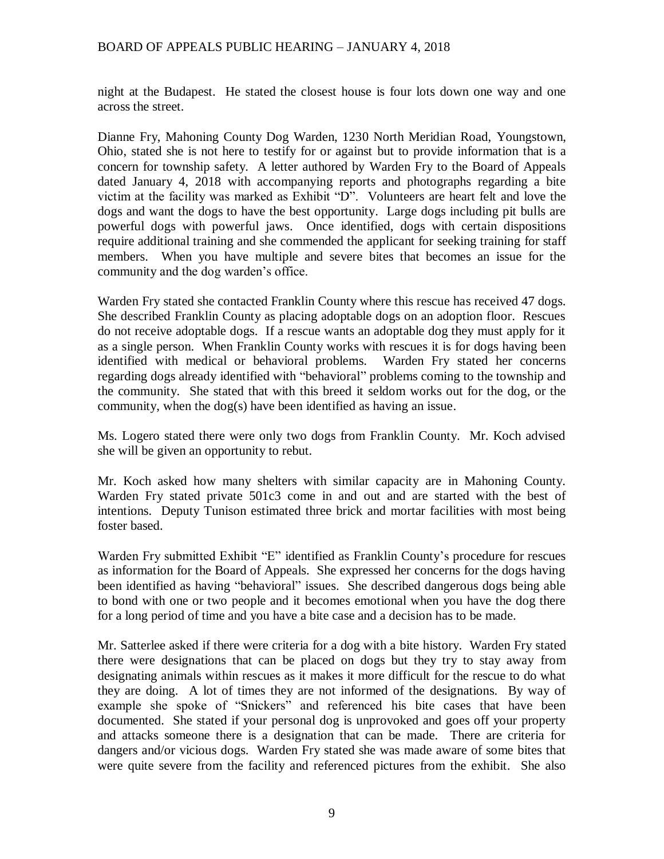night at the Budapest. He stated the closest house is four lots down one way and one across the street.

Dianne Fry, Mahoning County Dog Warden, 1230 North Meridian Road, Youngstown, Ohio, stated she is not here to testify for or against but to provide information that is a concern for township safety. A letter authored by Warden Fry to the Board of Appeals dated January 4, 2018 with accompanying reports and photographs regarding a bite victim at the facility was marked as Exhibit "D". Volunteers are heart felt and love the dogs and want the dogs to have the best opportunity. Large dogs including pit bulls are powerful dogs with powerful jaws. Once identified, dogs with certain dispositions require additional training and she commended the applicant for seeking training for staff members. When you have multiple and severe bites that becomes an issue for the community and the dog warden's office.

Warden Fry stated she contacted Franklin County where this rescue has received 47 dogs. She described Franklin County as placing adoptable dogs on an adoption floor. Rescues do not receive adoptable dogs. If a rescue wants an adoptable dog they must apply for it as a single person. When Franklin County works with rescues it is for dogs having been identified with medical or behavioral problems. Warden Fry stated her concerns regarding dogs already identified with "behavioral" problems coming to the township and the community. She stated that with this breed it seldom works out for the dog, or the community, when the dog(s) have been identified as having an issue.

Ms. Logero stated there were only two dogs from Franklin County. Mr. Koch advised she will be given an opportunity to rebut.

Mr. Koch asked how many shelters with similar capacity are in Mahoning County. Warden Fry stated private 501c3 come in and out and are started with the best of intentions. Deputy Tunison estimated three brick and mortar facilities with most being foster based.

Warden Fry submitted Exhibit "E" identified as Franklin County's procedure for rescues as information for the Board of Appeals. She expressed her concerns for the dogs having been identified as having "behavioral" issues. She described dangerous dogs being able to bond with one or two people and it becomes emotional when you have the dog there for a long period of time and you have a bite case and a decision has to be made.

Mr. Satterlee asked if there were criteria for a dog with a bite history. Warden Fry stated there were designations that can be placed on dogs but they try to stay away from designating animals within rescues as it makes it more difficult for the rescue to do what they are doing. A lot of times they are not informed of the designations. By way of example she spoke of "Snickers" and referenced his bite cases that have been documented. She stated if your personal dog is unprovoked and goes off your property and attacks someone there is a designation that can be made. There are criteria for dangers and/or vicious dogs. Warden Fry stated she was made aware of some bites that were quite severe from the facility and referenced pictures from the exhibit. She also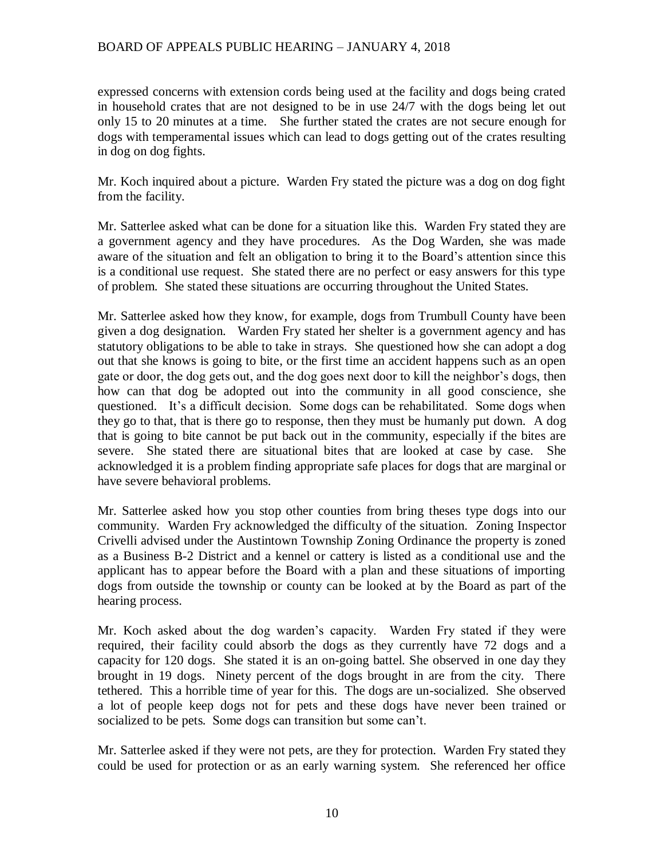expressed concerns with extension cords being used at the facility and dogs being crated in household crates that are not designed to be in use 24/7 with the dogs being let out only 15 to 20 minutes at a time. She further stated the crates are not secure enough for dogs with temperamental issues which can lead to dogs getting out of the crates resulting in dog on dog fights.

Mr. Koch inquired about a picture. Warden Fry stated the picture was a dog on dog fight from the facility.

Mr. Satterlee asked what can be done for a situation like this. Warden Fry stated they are a government agency and they have procedures. As the Dog Warden, she was made aware of the situation and felt an obligation to bring it to the Board's attention since this is a conditional use request. She stated there are no perfect or easy answers for this type of problem. She stated these situations are occurring throughout the United States.

Mr. Satterlee asked how they know, for example, dogs from Trumbull County have been given a dog designation. Warden Fry stated her shelter is a government agency and has statutory obligations to be able to take in strays. She questioned how she can adopt a dog out that she knows is going to bite, or the first time an accident happens such as an open gate or door, the dog gets out, and the dog goes next door to kill the neighbor's dogs, then how can that dog be adopted out into the community in all good conscience, she questioned. It's a difficult decision. Some dogs can be rehabilitated. Some dogs when they go to that, that is there go to response, then they must be humanly put down. A dog that is going to bite cannot be put back out in the community, especially if the bites are severe. She stated there are situational bites that are looked at case by case. She acknowledged it is a problem finding appropriate safe places for dogs that are marginal or have severe behavioral problems.

Mr. Satterlee asked how you stop other counties from bring theses type dogs into our community. Warden Fry acknowledged the difficulty of the situation. Zoning Inspector Crivelli advised under the Austintown Township Zoning Ordinance the property is zoned as a Business B-2 District and a kennel or cattery is listed as a conditional use and the applicant has to appear before the Board with a plan and these situations of importing dogs from outside the township or county can be looked at by the Board as part of the hearing process.

Mr. Koch asked about the dog warden's capacity. Warden Fry stated if they were required, their facility could absorb the dogs as they currently have 72 dogs and a capacity for 120 dogs. She stated it is an on-going battel. She observed in one day they brought in 19 dogs. Ninety percent of the dogs brought in are from the city. There tethered. This a horrible time of year for this. The dogs are un-socialized. She observed a lot of people keep dogs not for pets and these dogs have never been trained or socialized to be pets. Some dogs can transition but some can't.

Mr. Satterlee asked if they were not pets, are they for protection. Warden Fry stated they could be used for protection or as an early warning system. She referenced her office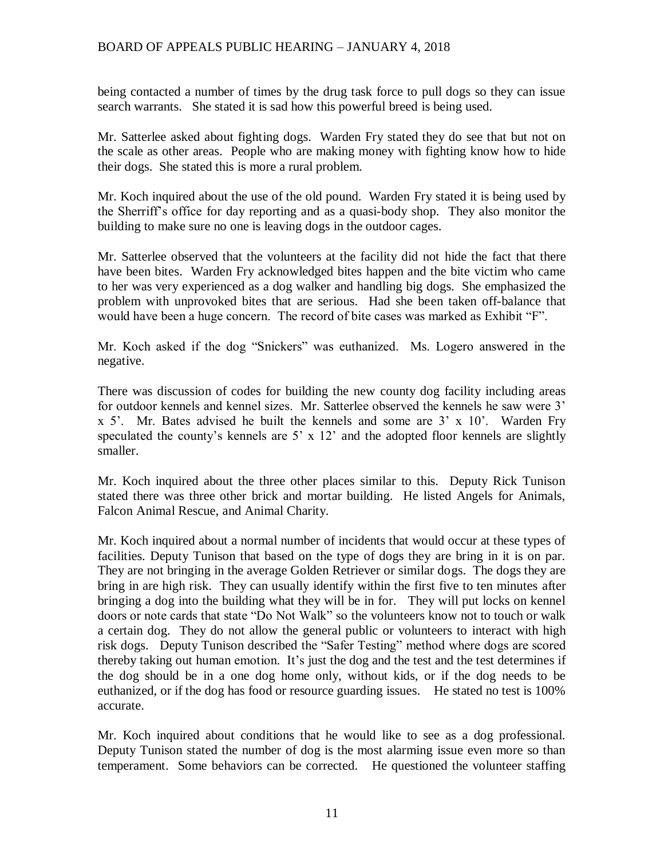being contacted a number of times by the drug task force to pull dogs so they can issue search warrants. She stated it is sad how this powerful breed is being used.

Mr. Satterlee asked about fighting dogs. Warden Fry stated they do see that but not on the scale as other areas. People who are making money with fighting know how to hide their dogs. She stated this is more a rural problem.

Mr. Koch inquired about the use of the old pound. Warden Fry stated it is being used by the Sherriff's office for day reporting and as a quasi-body shop. They also monitor the building to make sure no one is leaving dogs in the outdoor cages.

Mr. Satterlee observed that the volunteers at the facility did not hide the fact that there have been bites. Warden Fry acknowledged bites happen and the bite victim who came to her was very experienced as a dog walker and handling big dogs. She emphasized the problem with unprovoked bites that are serious. Had she been taken off-balance that would have been a huge concern. The record of bite cases was marked as Exhibit "F".

Mr. Koch asked if the dog "Snickers" was euthanized. Ms. Logero answered in the negative.

There was discussion of codes for building the new county dog facility including areas for outdoor kennels and kennel sizes. Mr. Satterlee observed the kennels he saw were 3' x 5'. Mr. Bates advised he built the kennels and some are 3' x 10'. Warden Fry speculated the county's kennels are  $5' \times 12'$  and the adopted floor kennels are slightly smaller.

Mr. Koch inquired about the three other places similar to this. Deputy Rick Tunison stated there was three other brick and mortar building. He listed Angels for Animals, Falcon Animal Rescue, and Animal Charity.

Mr. Koch inquired about a normal number of incidents that would occur at these types of facilities. Deputy Tunison that based on the type of dogs they are bring in it is on par. They are not bringing in the average Golden Retriever or similar dogs. The dogs they are bring in are high risk. They can usually identify within the first five to ten minutes after bringing a dog into the building what they will be in for. They will put locks on kennel doors or note cards that state "Do Not Walk" so the volunteers know not to touch or walk a certain dog. They do not allow the general public or volunteers to interact with high risk dogs. Deputy Tunison described the "Safer Testing" method where dogs are scored thereby taking out human emotion. It's just the dog and the test and the test determines if the dog should be in a one dog home only, without kids, or if the dog needs to be euthanized, or if the dog has food or resource guarding issues. He stated no test is 100% accurate.

Mr. Koch inquired about conditions that he would like to see as a dog professional. Deputy Tunison stated the number of dog is the most alarming issue even more so than temperament. Some behaviors can be corrected. He questioned the volunteer staffing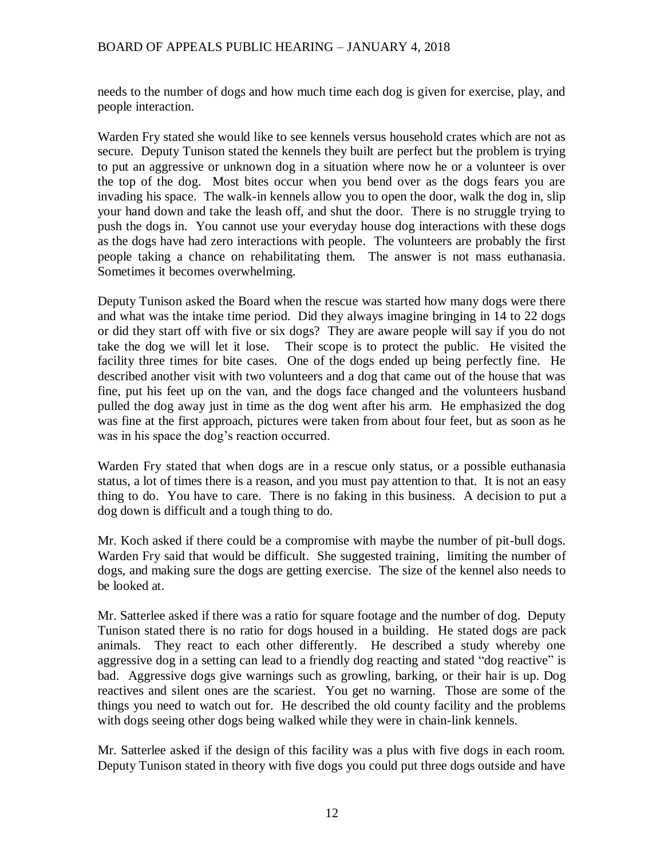needs to the number of dogs and how much time each dog is given for exercise, play, and people interaction.

Warden Fry stated she would like to see kennels versus household crates which are not as secure. Deputy Tunison stated the kennels they built are perfect but the problem is trying to put an aggressive or unknown dog in a situation where now he or a volunteer is over the top of the dog. Most bites occur when you bend over as the dogs fears you are invading his space. The walk-in kennels allow you to open the door, walk the dog in, slip your hand down and take the leash off, and shut the door. There is no struggle trying to push the dogs in. You cannot use your everyday house dog interactions with these dogs as the dogs have had zero interactions with people. The volunteers are probably the first people taking a chance on rehabilitating them. The answer is not mass euthanasia. Sometimes it becomes overwhelming.

Deputy Tunison asked the Board when the rescue was started how many dogs were there and what was the intake time period. Did they always imagine bringing in 14 to 22 dogs or did they start off with five or six dogs? They are aware people will say if you do not take the dog we will let it lose. Their scope is to protect the public. He visited the facility three times for bite cases. One of the dogs ended up being perfectly fine. He described another visit with two volunteers and a dog that came out of the house that was fine, put his feet up on the van, and the dogs face changed and the volunteers husband pulled the dog away just in time as the dog went after his arm. He emphasized the dog was fine at the first approach, pictures were taken from about four feet, but as soon as he was in his space the dog's reaction occurred.

Warden Fry stated that when dogs are in a rescue only status, or a possible euthanasia status, a lot of times there is a reason, and you must pay attention to that. It is not an easy thing to do. You have to care. There is no faking in this business. A decision to put a dog down is difficult and a tough thing to do.

Mr. Koch asked if there could be a compromise with maybe the number of pit-bull dogs. Warden Fry said that would be difficult. She suggested training, limiting the number of dogs, and making sure the dogs are getting exercise. The size of the kennel also needs to be looked at.

Mr. Satterlee asked if there was a ratio for square footage and the number of dog. Deputy Tunison stated there is no ratio for dogs housed in a building. He stated dogs are pack animals. They react to each other differently. He described a study whereby one aggressive dog in a setting can lead to a friendly dog reacting and stated "dog reactive" is bad. Aggressive dogs give warnings such as growling, barking, or their hair is up. Dog reactives and silent ones are the scariest. You get no warning. Those are some of the things you need to watch out for. He described the old county facility and the problems with dogs seeing other dogs being walked while they were in chain-link kennels.

Mr. Satterlee asked if the design of this facility was a plus with five dogs in each room. Deputy Tunison stated in theory with five dogs you could put three dogs outside and have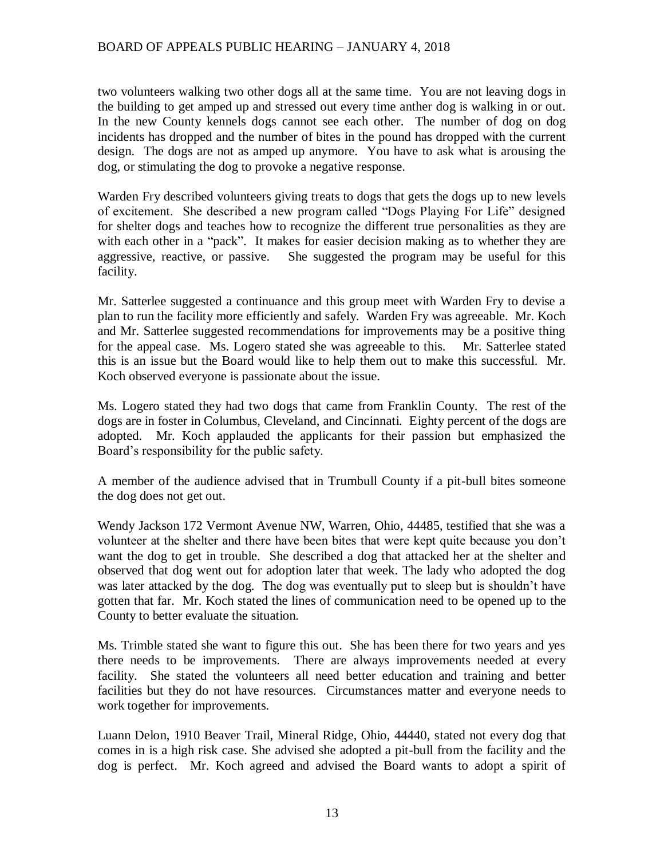two volunteers walking two other dogs all at the same time. You are not leaving dogs in the building to get amped up and stressed out every time anther dog is walking in or out. In the new County kennels dogs cannot see each other. The number of dog on dog incidents has dropped and the number of bites in the pound has dropped with the current design. The dogs are not as amped up anymore. You have to ask what is arousing the dog, or stimulating the dog to provoke a negative response.

Warden Fry described volunteers giving treats to dogs that gets the dogs up to new levels of excitement. She described a new program called "Dogs Playing For Life" designed for shelter dogs and teaches how to recognize the different true personalities as they are with each other in a "pack". It makes for easier decision making as to whether they are aggressive, reactive, or passive. She suggested the program may be useful for this facility.

Mr. Satterlee suggested a continuance and this group meet with Warden Fry to devise a plan to run the facility more efficiently and safely. Warden Fry was agreeable. Mr. Koch and Mr. Satterlee suggested recommendations for improvements may be a positive thing for the appeal case. Ms. Logero stated she was agreeable to this. Mr. Satterlee stated this is an issue but the Board would like to help them out to make this successful. Mr. Koch observed everyone is passionate about the issue.

Ms. Logero stated they had two dogs that came from Franklin County. The rest of the dogs are in foster in Columbus, Cleveland, and Cincinnati. Eighty percent of the dogs are adopted. Mr. Koch applauded the applicants for their passion but emphasized the Board's responsibility for the public safety.

A member of the audience advised that in Trumbull County if a pit-bull bites someone the dog does not get out.

Wendy Jackson 172 Vermont Avenue NW, Warren, Ohio, 44485, testified that she was a volunteer at the shelter and there have been bites that were kept quite because you don't want the dog to get in trouble. She described a dog that attacked her at the shelter and observed that dog went out for adoption later that week. The lady who adopted the dog was later attacked by the dog. The dog was eventually put to sleep but is shouldn't have gotten that far. Mr. Koch stated the lines of communication need to be opened up to the County to better evaluate the situation.

Ms. Trimble stated she want to figure this out. She has been there for two years and yes there needs to be improvements. There are always improvements needed at every facility. She stated the volunteers all need better education and training and better facilities but they do not have resources. Circumstances matter and everyone needs to work together for improvements.

Luann Delon, 1910 Beaver Trail, Mineral Ridge, Ohio, 44440, stated not every dog that comes in is a high risk case. She advised she adopted a pit-bull from the facility and the dog is perfect. Mr. Koch agreed and advised the Board wants to adopt a spirit of